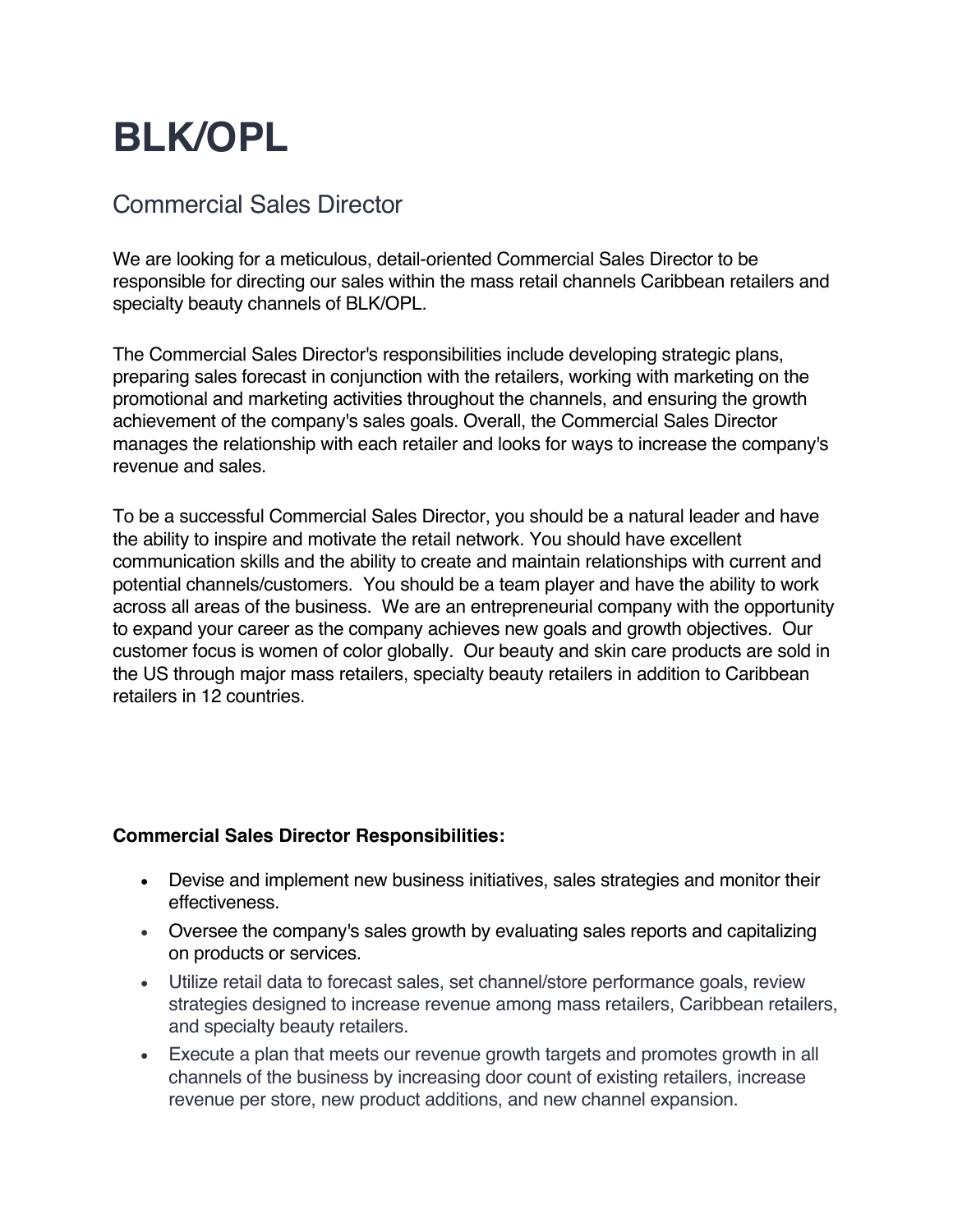## **BLK/OPL**

## Commercial Sales Director

We are looking for a meticulous, detail-oriented Commercial Sales Director to be responsible for directing our sales within the mass retail channels Caribbean retailers and specialty beauty channels of BLK/OPL.

The Commercial Sales Director's responsibilities include developing strategic plans, preparing sales forecast in conjunction with the retailers, working with marketing on the promotional and marketing activities throughout the channels, and ensuring the growth achievement of the company's sales goals. Overall, the Commercial Sales Director manages the relationship with each retailer and looks for ways to increase the company's revenue and sales.

To be a successful Commercial Sales Director, you should be a natural leader and have the ability to inspire and motivate the retail network. You should have excellent communication skills and the ability to create and maintain relationships with current and potential channels/customers. You should be a team player and have the ability to work across all areas of the business. We are an entrepreneurial company with the opportunity to expand your career as the company achieves new goals and growth objectives. Our customer focus is women of color globally. Our beauty and skin care products are sold in the US through major mass retailers, specialty beauty retailers in addition to Caribbean retailers in 12 countries.

## **Commercial Sales Director Responsibilities:**

- Devise and implement new business initiatives, sales strategies and monitor their effectiveness.
- Oversee the company's sales growth by evaluating sales reports and capitalizing on products or services.
- Utilize retail data to forecast sales, set channel/store performance goals, review strategies designed to increase revenue among mass retailers, Caribbean retailers, and specialty beauty retailers.
- Execute a plan that meets our revenue growth targets and promotes growth in all channels of the business by increasing door count of existing retailers, increase revenue per store, new product additions, and new channel expansion.